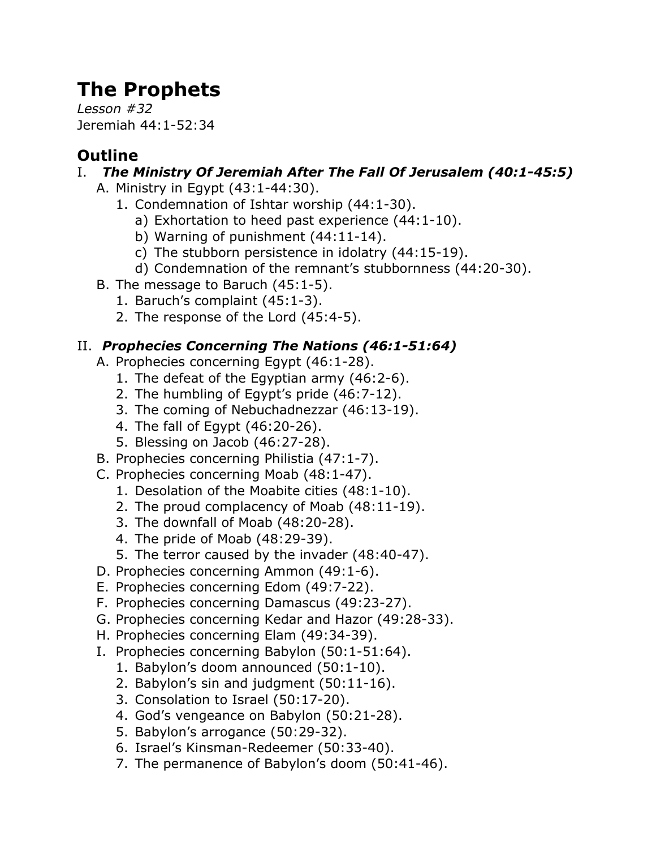# **The Prophets**

*Lesson #32* Jeremiah 44:1-52:34

# **Outline**

## I. *The Ministry Of Jeremiah After The Fall Of Jerusalem (40:1-45:5)*

- A. Ministry in Egypt (43:1-44:30).
	- 1. Condemnation of Ishtar worship (44:1-30).
		- a) Exhortation to heed past experience (44:1-10).
		- b) Warning of punishment (44:11-14).
		- c) The stubborn persistence in idolatry (44:15-19).
		- d) Condemnation of the remnant's stubbornness (44:20-30).
- B. The message to Baruch (45:1-5).
	- 1. Baruch's complaint (45:1-3).
	- 2. The response of the Lord (45:4-5).

# II. *Prophecies Concerning The Nations (46:1-51:64)*

- A. Prophecies concerning Egypt (46:1-28).
	- 1. The defeat of the Egyptian army (46:2-6).
	- 2. The humbling of Egypt's pride (46:7-12).
	- 3. The coming of Nebuchadnezzar (46:13-19).
	- 4. The fall of Egypt (46:20-26).
	- 5. Blessing on Jacob (46:27-28).
- B. Prophecies concerning Philistia (47:1-7).
- C. Prophecies concerning Moab (48:1-47).
	- 1. Desolation of the Moabite cities (48:1-10).
	- 2. The proud complacency of Moab (48:11-19).
	- 3. The downfall of Moab (48:20-28).
	- 4. The pride of Moab (48:29-39).
	- 5. The terror caused by the invader (48:40-47).
- D. Prophecies concerning Ammon (49:1-6).
- E. Prophecies concerning Edom (49:7-22).
- F. Prophecies concerning Damascus (49:23-27).
- G. Prophecies concerning Kedar and Hazor (49:28-33).
- H. Prophecies concerning Elam (49:34-39).
- I. Prophecies concerning Babylon (50:1-51:64).
	- 1. Babylon's doom announced (50:1-10).
	- 2. Babylon's sin and judgment (50:11-16).
	- 3. Consolation to Israel (50:17-20).
	- 4. God's vengeance on Babylon (50:21-28).
	- 5. Babylon's arrogance (50:29-32).
	- 6. Israel's Kinsman-Redeemer (50:33-40).
	- 7. The permanence of Babylon's doom (50:41-46).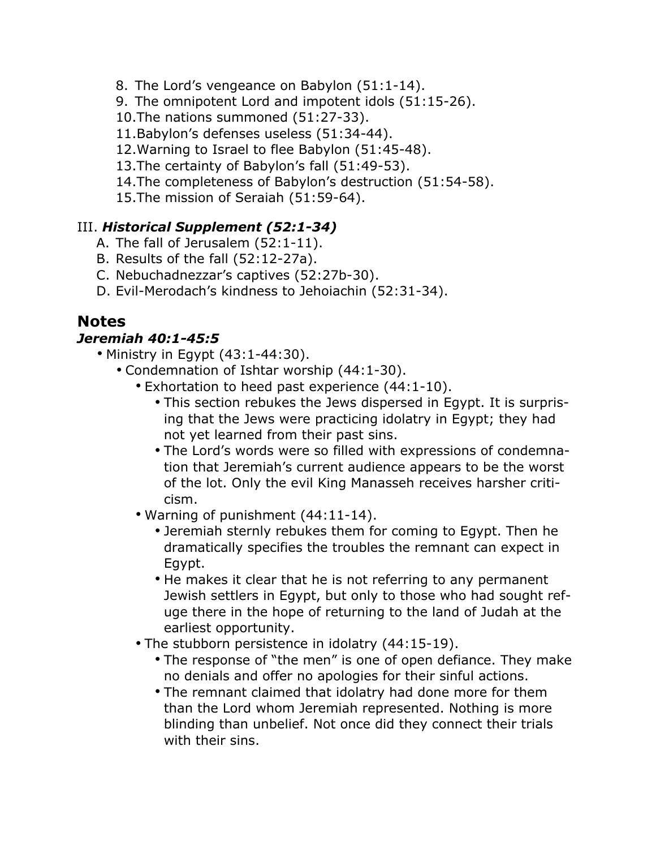- 8. The Lord's vengeance on Babylon (51:1-14).
- 9. The omnipotent Lord and impotent idols (51:15-26).
- 10.The nations summoned (51:27-33).
- 11.Babylon's defenses useless (51:34-44).
- 12.Warning to Israel to flee Babylon (51:45-48).
- 13.The certainty of Babylon's fall (51:49-53).
- 14.The completeness of Babylon's destruction (51:54-58).
- 15.The mission of Seraiah (51:59-64).

#### III. *Historical Supplement (52:1-34)*

- A. The fall of Jerusalem (52:1-11).
- B. Results of the fall (52:12-27a).
- C. Nebuchadnezzar's captives (52:27b-30).
- D. Evil-Merodach's kindness to Jehoiachin (52:31-34).

#### **Notes**

#### *Jeremiah 40:1-45:5*

- Ministry in Egypt (43:1-44:30).
	- Condemnation of Ishtar worship (44:1-30).
		- Exhortation to heed past experience (44:1-10).
			- This section rebukes the Jews dispersed in Egypt. It is surprising that the Jews were practicing idolatry in Egypt; they had not yet learned from their past sins.
			- The Lord's words were so filled with expressions of condemnation that Jeremiah's current audience appears to be the worst of the lot. Only the evil King Manasseh receives harsher criticism.
		- Warning of punishment (44:11-14).
			- Jeremiah sternly rebukes them for coming to Egypt. Then he dramatically specifies the troubles the remnant can expect in Egypt.
			- He makes it clear that he is not referring to any permanent Jewish settlers in Egypt, but only to those who had sought refuge there in the hope of returning to the land of Judah at the earliest opportunity.
		- The stubborn persistence in idolatry (44:15-19).
			- The response of "the men" is one of open defiance. They make no denials and offer no apologies for their sinful actions.
			- The remnant claimed that idolatry had done more for them than the Lord whom Jeremiah represented. Nothing is more blinding than unbelief. Not once did they connect their trials with their sins.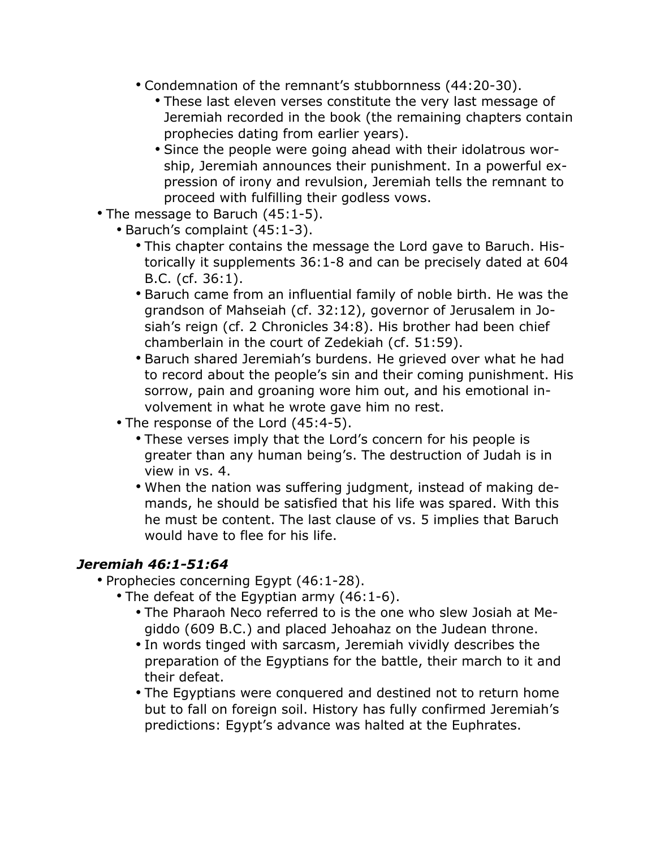- Condemnation of the remnant's stubbornness (44:20-30).
	- These last eleven verses constitute the very last message of Jeremiah recorded in the book (the remaining chapters contain prophecies dating from earlier years).
	- Since the people were going ahead with their idolatrous worship, Jeremiah announces their punishment. In a powerful expression of irony and revulsion, Jeremiah tells the remnant to proceed with fulfilling their godless vows.
- The message to Baruch (45:1-5).
	- Baruch's complaint (45:1-3).
		- This chapter contains the message the Lord gave to Baruch. Historically it supplements 36:1-8 and can be precisely dated at 604 B.C. (cf. 36:1).
		- Baruch came from an influential family of noble birth. He was the grandson of Mahseiah (cf. 32:12), governor of Jerusalem in Josiah's reign (cf. 2 Chronicles 34:8). His brother had been chief chamberlain in the court of Zedekiah (cf. 51:59).
		- Baruch shared Jeremiah's burdens. He grieved over what he had to record about the people's sin and their coming punishment. His sorrow, pain and groaning wore him out, and his emotional involvement in what he wrote gave him no rest.
		- The response of the Lord (45:4-5).
			- These verses imply that the Lord's concern for his people is greater than any human being's. The destruction of Judah is in view in vs. 4.
			- When the nation was suffering judgment, instead of making demands, he should be satisfied that his life was spared. With this he must be content. The last clause of vs. 5 implies that Baruch would have to flee for his life.

#### *Jeremiah 46:1-51:64*

- Prophecies concerning Egypt (46:1-28).
	- The defeat of the Egyptian army (46:1-6).
		- The Pharaoh Neco referred to is the one who slew Josiah at Megiddo (609 B.C.) and placed Jehoahaz on the Judean throne.
		- In words tinged with sarcasm, Jeremiah vividly describes the preparation of the Egyptians for the battle, their march to it and their defeat.
		- The Egyptians were conquered and destined not to return home but to fall on foreign soil. History has fully confirmed Jeremiah's predictions: Egypt's advance was halted at the Euphrates.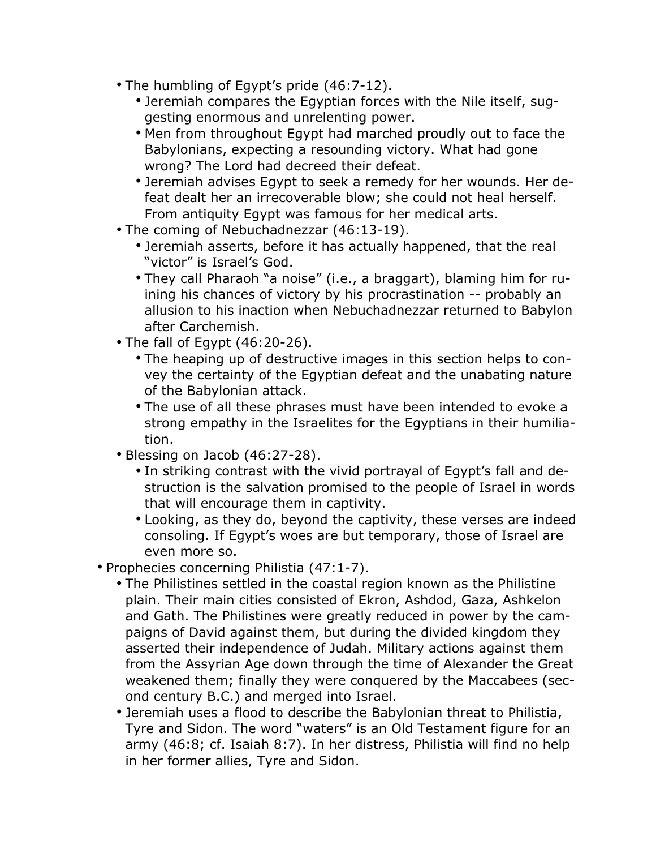- The humbling of Egypt's pride (46:7-12).
	- Jeremiah compares the Egyptian forces with the Nile itself, suggesting enormous and unrelenting power.
	- Men from throughout Egypt had marched proudly out to face the Babylonians, expecting a resounding victory. What had gone wrong? The Lord had decreed their defeat.
	- Jeremiah advises Egypt to seek a remedy for her wounds. Her defeat dealt her an irrecoverable blow; she could not heal herself. From antiquity Egypt was famous for her medical arts.
- The coming of Nebuchadnezzar (46:13-19).
	- Jeremiah asserts, before it has actually happened, that the real "victor" is Israel's God.
	- They call Pharaoh "a noise" (i.e., a braggart), blaming him for ruining his chances of victory by his procrastination -- probably an allusion to his inaction when Nebuchadnezzar returned to Babylon after Carchemish.
- The fall of Egypt (46:20-26).
	- The heaping up of destructive images in this section helps to convey the certainty of the Egyptian defeat and the unabating nature of the Babylonian attack.
	- The use of all these phrases must have been intended to evoke a strong empathy in the Israelites for the Egyptians in their humiliation.
- Blessing on Jacob (46:27-28).
	- In striking contrast with the vivid portrayal of Egypt's fall and destruction is the salvation promised to the people of Israel in words that will encourage them in captivity.
	- Looking, as they do, beyond the captivity, these verses are indeed consoling. If Egypt's woes are but temporary, those of Israel are even more so.
- Prophecies concerning Philistia (47:1-7).
	- The Philistines settled in the coastal region known as the Philistine plain. Their main cities consisted of Ekron, Ashdod, Gaza, Ashkelon and Gath. The Philistines were greatly reduced in power by the campaigns of David against them, but during the divided kingdom they asserted their independence of Judah. Military actions against them from the Assyrian Age down through the time of Alexander the Great weakened them; finally they were conquered by the Maccabees (second century B.C.) and merged into Israel.
	- Jeremiah uses a flood to describe the Babylonian threat to Philistia, Tyre and Sidon. The word "waters" is an Old Testament figure for an army (46:8; cf. Isaiah 8:7). In her distress, Philistia will find no help in her former allies, Tyre and Sidon.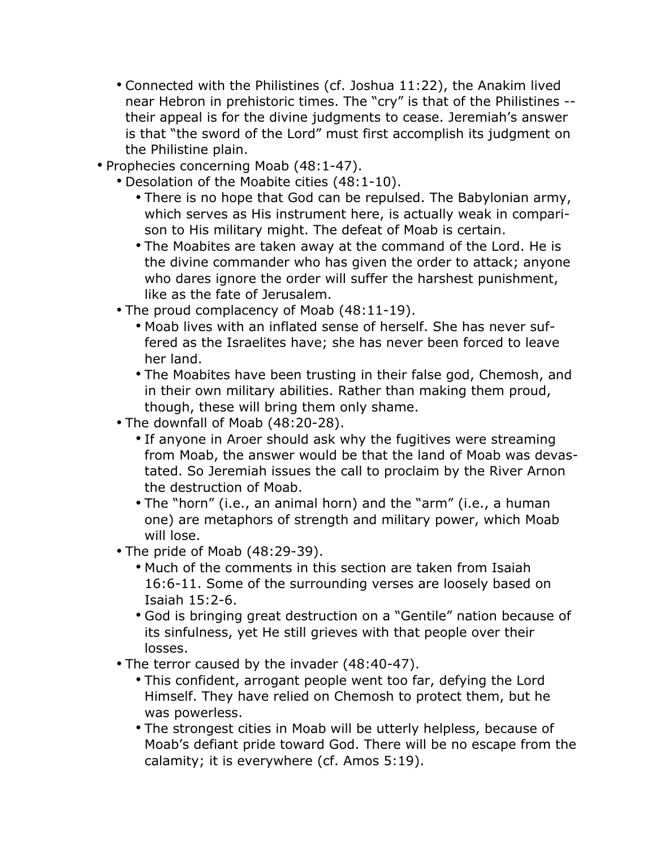- Connected with the Philistines (cf. Joshua 11:22), the Anakim lived near Hebron in prehistoric times. The "cry" is that of the Philistines - their appeal is for the divine judgments to cease. Jeremiah's answer is that "the sword of the Lord" must first accomplish its judgment on the Philistine plain.
- Prophecies concerning Moab (48:1-47).
	- Desolation of the Moabite cities (48:1-10).
		- There is no hope that God can be repulsed. The Babylonian army, which serves as His instrument here, is actually weak in comparison to His military might. The defeat of Moab is certain.
		- The Moabites are taken away at the command of the Lord. He is the divine commander who has given the order to attack; anyone who dares ignore the order will suffer the harshest punishment, like as the fate of Jerusalem.
	- The proud complacency of Moab (48:11-19).
		- Moab lives with an inflated sense of herself. She has never suffered as the Israelites have; she has never been forced to leave her land.
		- The Moabites have been trusting in their false god, Chemosh, and in their own military abilities. Rather than making them proud, though, these will bring them only shame.
	- The downfall of Moab (48:20-28).
		- If anyone in Aroer should ask why the fugitives were streaming from Moab, the answer would be that the land of Moab was devastated. So Jeremiah issues the call to proclaim by the River Arnon the destruction of Moab.
		- The "horn" (i.e., an animal horn) and the "arm" (i.e., a human one) are metaphors of strength and military power, which Moab will lose.
	- The pride of Moab (48:29-39).
		- Much of the comments in this section are taken from Isaiah 16:6-11. Some of the surrounding verses are loosely based on Isaiah 15:2-6.
		- God is bringing great destruction on a "Gentile" nation because of its sinfulness, yet He still grieves with that people over their losses.
	- The terror caused by the invader (48:40-47).
		- This confident, arrogant people went too far, defying the Lord Himself. They have relied on Chemosh to protect them, but he was powerless.
		- The strongest cities in Moab will be utterly helpless, because of Moab's defiant pride toward God. There will be no escape from the calamity; it is everywhere (cf. Amos 5:19).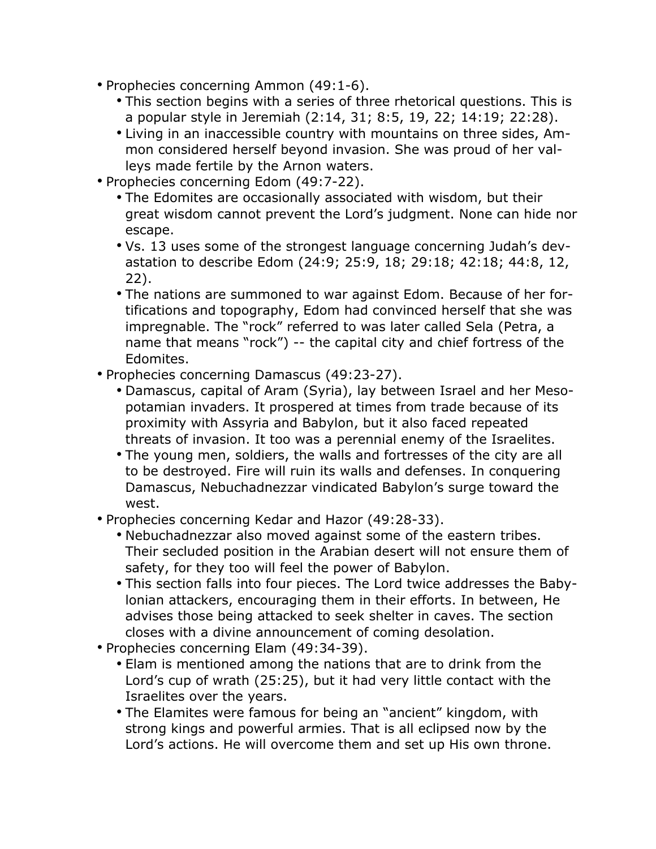- Prophecies concerning Ammon (49:1-6).
	- This section begins with a series of three rhetorical questions. This is a popular style in Jeremiah (2:14, 31; 8:5, 19, 22; 14:19; 22:28).
	- Living in an inaccessible country with mountains on three sides, Ammon considered herself beyond invasion. She was proud of her valleys made fertile by the Arnon waters.
- Prophecies concerning Edom (49:7-22).
	- The Edomites are occasionally associated with wisdom, but their great wisdom cannot prevent the Lord's judgment. None can hide nor escape.
	- Vs. 13 uses some of the strongest language concerning Judah's devastation to describe Edom (24:9; 25:9, 18; 29:18; 42:18; 44:8, 12, 22).
	- The nations are summoned to war against Edom. Because of her fortifications and topography, Edom had convinced herself that she was impregnable. The "rock" referred to was later called Sela (Petra, a name that means "rock") -- the capital city and chief fortress of the Edomites.
- Prophecies concerning Damascus (49:23-27).
	- Damascus, capital of Aram (Syria), lay between Israel and her Mesopotamian invaders. It prospered at times from trade because of its proximity with Assyria and Babylon, but it also faced repeated threats of invasion. It too was a perennial enemy of the Israelites.
	- The young men, soldiers, the walls and fortresses of the city are all to be destroyed. Fire will ruin its walls and defenses. In conquering Damascus, Nebuchadnezzar vindicated Babylon's surge toward the west.
- Prophecies concerning Kedar and Hazor (49:28-33).
	- Nebuchadnezzar also moved against some of the eastern tribes. Their secluded position in the Arabian desert will not ensure them of safety, for they too will feel the power of Babylon.
	- This section falls into four pieces. The Lord twice addresses the Babylonian attackers, encouraging them in their efforts. In between, He advises those being attacked to seek shelter in caves. The section closes with a divine announcement of coming desolation.
- Prophecies concerning Elam (49:34-39).
	- Elam is mentioned among the nations that are to drink from the Lord's cup of wrath (25:25), but it had very little contact with the Israelites over the years.
	- The Elamites were famous for being an "ancient" kingdom, with strong kings and powerful armies. That is all eclipsed now by the Lord's actions. He will overcome them and set up His own throne.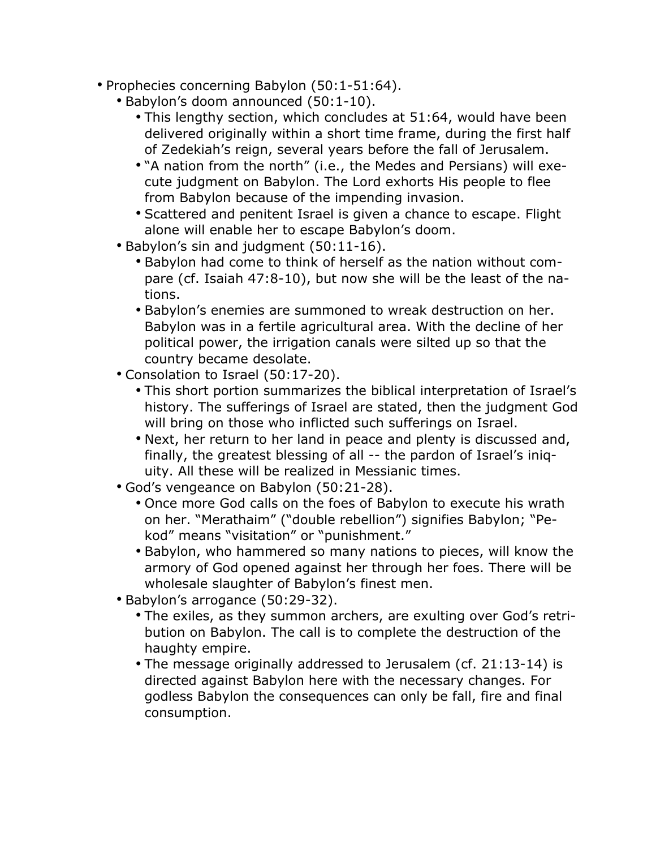- Prophecies concerning Babylon (50:1-51:64).
	- Babylon's doom announced (50:1-10).
		- This lengthy section, which concludes at 51:64, would have been delivered originally within a short time frame, during the first half of Zedekiah's reign, several years before the fall of Jerusalem.
		- "A nation from the north" (i.e., the Medes and Persians) will execute judgment on Babylon. The Lord exhorts His people to flee from Babylon because of the impending invasion.
		- Scattered and penitent Israel is given a chance to escape. Flight alone will enable her to escape Babylon's doom.
	- Babylon's sin and judgment (50:11-16).
		- Babylon had come to think of herself as the nation without compare (cf. Isaiah 47:8-10), but now she will be the least of the nations.
		- Babylon's enemies are summoned to wreak destruction on her. Babylon was in a fertile agricultural area. With the decline of her political power, the irrigation canals were silted up so that the country became desolate.
	- Consolation to Israel (50:17-20).
		- This short portion summarizes the biblical interpretation of Israel's history. The sufferings of Israel are stated, then the judgment God will bring on those who inflicted such sufferings on Israel.
		- Next, her return to her land in peace and plenty is discussed and, finally, the greatest blessing of all -- the pardon of Israel's iniquity. All these will be realized in Messianic times.
	- God's vengeance on Babylon (50:21-28).
		- Once more God calls on the foes of Babylon to execute his wrath on her. "Merathaim" ("double rebellion") signifies Babylon; "Pekod" means "visitation" or "punishment."
		- Babylon, who hammered so many nations to pieces, will know the armory of God opened against her through her foes. There will be wholesale slaughter of Babylon's finest men.
	- Babylon's arrogance (50:29-32).
		- The exiles, as they summon archers, are exulting over God's retribution on Babylon. The call is to complete the destruction of the haughty empire.
		- The message originally addressed to Jerusalem (cf. 21:13-14) is directed against Babylon here with the necessary changes. For godless Babylon the consequences can only be fall, fire and final consumption.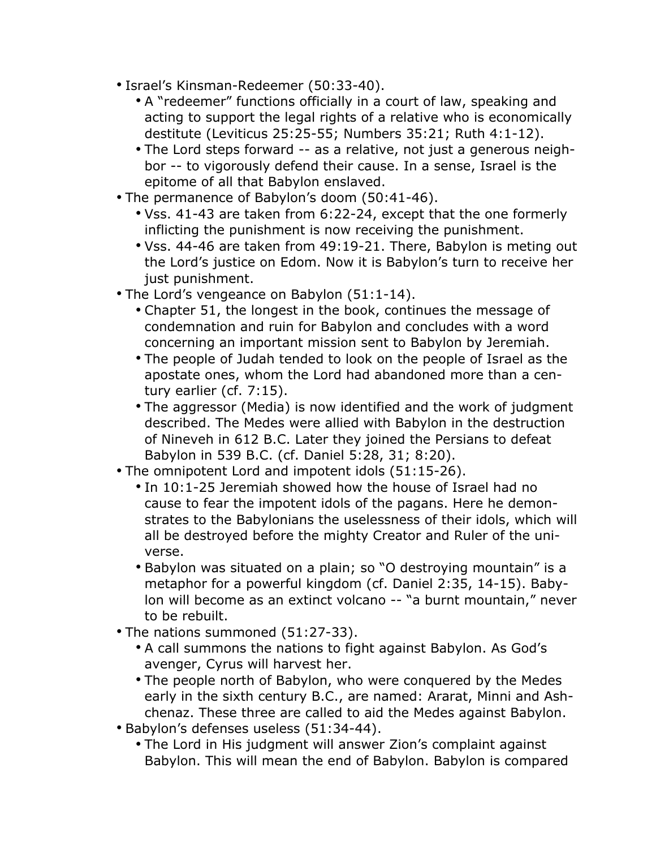- Israel's Kinsman-Redeemer (50:33-40).
	- A "redeemer" functions officially in a court of law, speaking and acting to support the legal rights of a relative who is economically destitute (Leviticus 25:25-55; Numbers 35:21; Ruth 4:1-12).
	- The Lord steps forward -- as a relative, not just a generous neighbor -- to vigorously defend their cause. In a sense, Israel is the epitome of all that Babylon enslaved.
- The permanence of Babylon's doom (50:41-46).
	- Vss. 41-43 are taken from 6:22-24, except that the one formerly inflicting the punishment is now receiving the punishment.
	- Vss. 44-46 are taken from 49:19-21. There, Babylon is meting out the Lord's justice on Edom. Now it is Babylon's turn to receive her just punishment.
- The Lord's vengeance on Babylon (51:1-14).
	- Chapter 51, the longest in the book, continues the message of condemnation and ruin for Babylon and concludes with a word concerning an important mission sent to Babylon by Jeremiah.
	- The people of Judah tended to look on the people of Israel as the apostate ones, whom the Lord had abandoned more than a century earlier (cf. 7:15).
	- The aggressor (Media) is now identified and the work of judgment described. The Medes were allied with Babylon in the destruction of Nineveh in 612 B.C. Later they joined the Persians to defeat Babylon in 539 B.C. (cf. Daniel 5:28, 31; 8:20).
- The omnipotent Lord and impotent idols (51:15-26).
	- In 10:1-25 Jeremiah showed how the house of Israel had no cause to fear the impotent idols of the pagans. Here he demonstrates to the Babylonians the uselessness of their idols, which will all be destroyed before the mighty Creator and Ruler of the universe.
	- Babylon was situated on a plain; so "O destroying mountain" is a metaphor for a powerful kingdom (cf. Daniel 2:35, 14-15). Babylon will become as an extinct volcano -- "a burnt mountain," never to be rebuilt.
- The nations summoned (51:27-33).
	- A call summons the nations to fight against Babylon. As God's avenger, Cyrus will harvest her.
	- The people north of Babylon, who were conquered by the Medes early in the sixth century B.C., are named: Ararat, Minni and Ashchenaz. These three are called to aid the Medes against Babylon.
- Babylon's defenses useless (51:34-44).
	- The Lord in His judgment will answer Zion's complaint against Babylon. This will mean the end of Babylon. Babylon is compared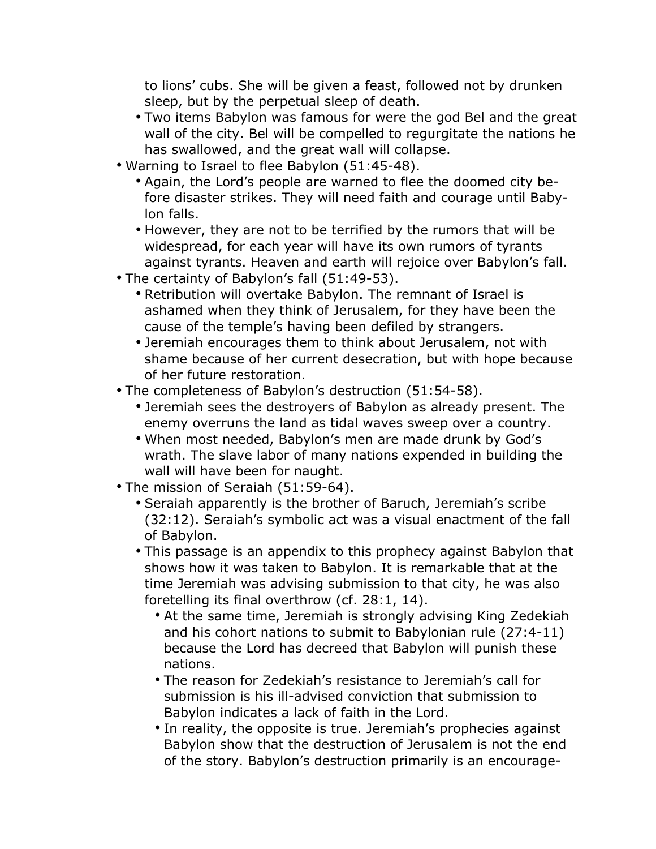to lions' cubs. She will be given a feast, followed not by drunken sleep, but by the perpetual sleep of death.

- Two items Babylon was famous for were the god Bel and the great wall of the city. Bel will be compelled to regurgitate the nations he has swallowed, and the great wall will collapse.
- Warning to Israel to flee Babylon (51:45-48).
	- Again, the Lord's people are warned to flee the doomed city before disaster strikes. They will need faith and courage until Babylon falls.
	- However, they are not to be terrified by the rumors that will be widespread, for each year will have its own rumors of tyrants against tyrants. Heaven and earth will rejoice over Babylon's fall.
- The certainty of Babylon's fall (51:49-53).
	- Retribution will overtake Babylon. The remnant of Israel is ashamed when they think of Jerusalem, for they have been the cause of the temple's having been defiled by strangers.
	- Jeremiah encourages them to think about Jerusalem, not with shame because of her current desecration, but with hope because of her future restoration.
- The completeness of Babylon's destruction (51:54-58).
	- Jeremiah sees the destroyers of Babylon as already present. The enemy overruns the land as tidal waves sweep over a country.
	- When most needed, Babylon's men are made drunk by God's wrath. The slave labor of many nations expended in building the wall will have been for naught.
- The mission of Seraiah (51:59-64).
	- Seraiah apparently is the brother of Baruch, Jeremiah's scribe (32:12). Seraiah's symbolic act was a visual enactment of the fall of Babylon.
	- This passage is an appendix to this prophecy against Babylon that shows how it was taken to Babylon. It is remarkable that at the time Jeremiah was advising submission to that city, he was also foretelling its final overthrow (cf. 28:1, 14).
		- At the same time, Jeremiah is strongly advising King Zedekiah and his cohort nations to submit to Babylonian rule (27:4-11) because the Lord has decreed that Babylon will punish these nations.
		- The reason for Zedekiah's resistance to Jeremiah's call for submission is his ill-advised conviction that submission to Babylon indicates a lack of faith in the Lord.
		- In reality, the opposite is true. Jeremiah's prophecies against Babylon show that the destruction of Jerusalem is not the end of the story. Babylon's destruction primarily is an encourage-